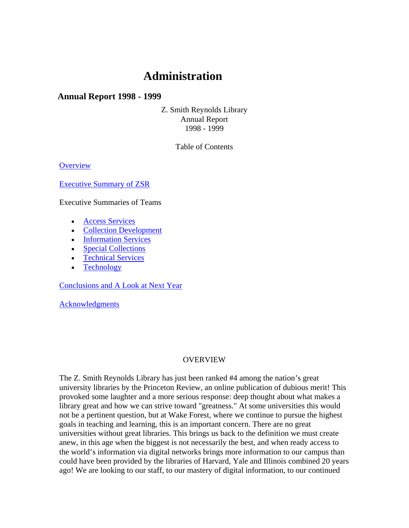# **Administration**

## **Annual Report 1998 - 1999**

Z. Smith Reynolds Library Annual Report 1998 - 1999

Table of Contents

**Overview** 

Executive Summary of ZSR

Executive Summaries of Teams

- Access Services
- Collection Development
- Information Services
- Special Collections
- Technical Services
- Technology

Conclusions and A Look at Next Year

Acknowledgments

#### OVERVIEW

The Z. Smith Reynolds Library has just been ranked #4 among the nation's great university libraries by the Princeton Review, an online publication of dubious merit! This provoked some laughter and a more serious response: deep thought about what makes a library great and how we can strive toward "greatness." At some universities this would not be a pertinent question, but at Wake Forest, where we continue to pursue the highest goals in teaching and learning, this is an important concern. There are no great universities without great libraries. This brings us back to the definition we must create anew, in this age when the biggest is not necessarily the best, and when ready access to the world's information via digital networks brings more information to our campus than could have been provided by the libraries of Harvard, Yale and Illinois combined 20 years ago! We are looking to our staff, to our mastery of digital information, to our continued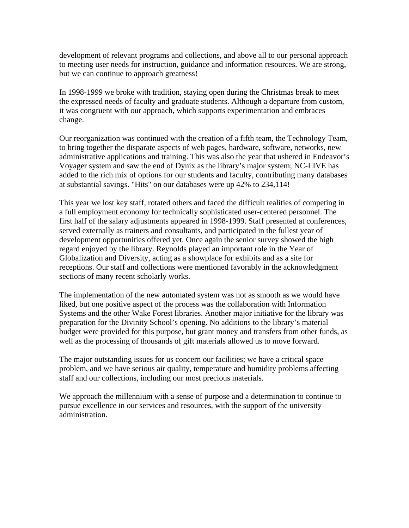development of relevant programs and collections, and above all to our personal approach to meeting user needs for instruction, guidance and information resources. We are strong, but we can continue to approach greatness!

In 1998-1999 we broke with tradition, staying open during the Christmas break to meet the expressed needs of faculty and graduate students. Although a departure from custom, it was congruent with our approach, which supports experimentation and embraces change.

Our reorganization was continued with the creation of a fifth team, the Technology Team, to bring together the disparate aspects of web pages, hardware, software, networks, new administrative applications and training. This was also the year that ushered in Endeavor's Voyager system and saw the end of Dynix as the library's major system; NC-LIVE has added to the rich mix of options for our students and faculty, contributing many databases at substantial savings. "Hits" on our databases were up 42% to 234,114!

This year we lost key staff, rotated others and faced the difficult realities of competing in a full employment economy for technically sophisticated user-centered personnel. The first half of the salary adjustments appeared in 1998-1999. Staff presented at conferences, served externally as trainers and consultants, and participated in the fullest year of development opportunities offered yet. Once again the senior survey showed the high regard enjoyed by the library. Reynolds played an important role in the Year of Globalization and Diversity, acting as a showplace for exhibits and as a site for receptions. Our staff and collections were mentioned favorably in the acknowledgment sections of many recent scholarly works.

The implementation of the new automated system was not as smooth as we would have liked, but one positive aspect of the process was the collaboration with Information Systems and the other Wake Forest libraries. Another major initiative for the library was preparation for the Divinity School's opening. No additions to the library's material budget were provided for this purpose, but grant money and transfers from other funds, as well as the processing of thousands of gift materials allowed us to move forward.

The major outstanding issues for us concern our facilities; we have a critical space problem, and we have serious air quality, temperature and humidity problems affecting staff and our collections, including our most precious materials.

We approach the millennium with a sense of purpose and a determination to continue to pursue excellence in our services and resources, with the support of the university administration.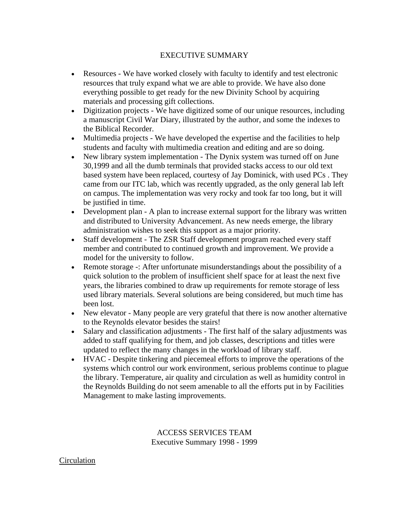## EXECUTIVE SUMMARY

- Resources We have worked closely with faculty to identify and test electronic resources that truly expand what we are able to provide. We have also done everything possible to get ready for the new Divinity School by acquiring materials and processing gift collections.
- Digitization projects We have digitized some of our unique resources, including a manuscript Civil War Diary, illustrated by the author, and some the indexes to the Biblical Recorder.
- Multimedia projects We have developed the expertise and the facilities to help students and faculty with multimedia creation and editing and are so doing.
- New library system implementation The Dynix system was turned off on June 30,1999 and all the dumb terminals that provided stacks access to our old text based system have been replaced, courtesy of Jay Dominick, with used PCs . They came from our ITC lab, which was recently upgraded, as the only general lab left on campus. The implementation was very rocky and took far too long, but it will be justified in time.
- Development plan A plan to increase external support for the library was written and distributed to University Advancement. As new needs emerge, the library administration wishes to seek this support as a major priority.
- Staff development The ZSR Staff development program reached every staff member and contributed to continued growth and improvement. We provide a model for the university to follow.
- Remote storage -: After unfortunate misunderstandings about the possibility of a quick solution to the problem of insufficient shelf space for at least the next five years, the libraries combined to draw up requirements for remote storage of less used library materials. Several solutions are being considered, but much time has been lost.
- New elevator Many people are very grateful that there is now another alternative to the Reynolds elevator besides the stairs!
- Salary and classification adjustments The first half of the salary adjustments was added to staff qualifying for them, and job classes, descriptions and titles were updated to reflect the many changes in the workload of library staff.
- HVAC Despite tinkering and piecemeal efforts to improve the operations of the systems which control our work environment, serious problems continue to plague the library. Temperature, air quality and circulation as well as humidity control in the Reynolds Building do not seem amenable to all the efforts put in by Facilities Management to make lasting improvements.

ACCESS SERVICES TEAM Executive Summary 1998 - 1999

**Circulation**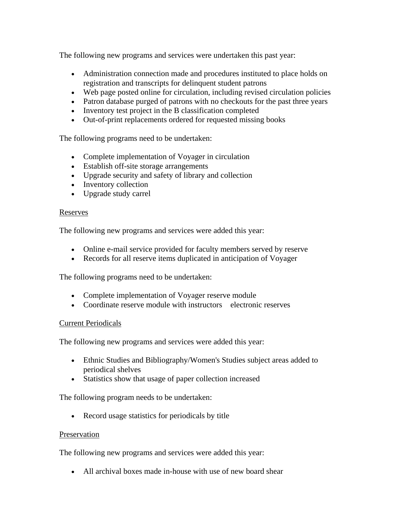The following new programs and services were undertaken this past year:

- Administration connection made and procedures instituted to place holds on registration and transcripts for delinquent student patrons
- Web page posted online for circulation, including revised circulation policies
- Patron database purged of patrons with no checkouts for the past three years
- Inventory test project in the B classification completed
- Out-of-print replacements ordered for requested missing books

The following programs need to be undertaken:

- Complete implementation of Voyager in circulation
- Establish off-site storage arrangements
- Upgrade security and safety of library and collection
- Inventory collection
- Upgrade study carrel

### Reserves

The following new programs and services were added this year:

- Online e-mail service provided for faculty members served by reserve
- Records for all reserve items duplicated in anticipation of Voyager

The following programs need to be undertaken:

- Complete implementation of Voyager reserve module
- Coordinate reserve module with instructors electronic reserves

## Current Periodicals

The following new programs and services were added this year:

- Ethnic Studies and Bibliography/Women's Studies subject areas added to periodical shelves
- Statistics show that usage of paper collection increased

The following program needs to be undertaken:

• Record usage statistics for periodicals by title

## Preservation

The following new programs and services were added this year:

• All archival boxes made in-house with use of new board shear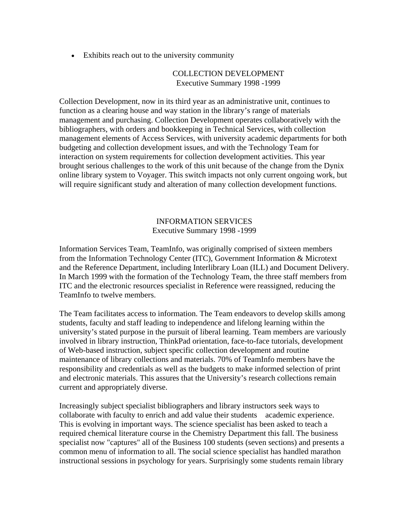• Exhibits reach out to the university community

#### COLLECTION DEVELOPMENT Executive Summary 1998 -1999

Collection Development, now in its third year as an administrative unit, continues to function as a clearing house and way station in the library's range of materials management and purchasing. Collection Development operates collaboratively with the bibliographers, with orders and bookkeeping in Technical Services, with collection management elements of Access Services, with university academic departments for both budgeting and collection development issues, and with the Technology Team for interaction on system requirements for collection development activities. This year brought serious challenges to the work of this unit because of the change from the Dynix online library system to Voyager. This switch impacts not only current ongoing work, but will require significant study and alteration of many collection development functions.

#### INFORMATION SERVICES Executive Summary 1998 -1999

Information Services Team, TeamInfo, was originally comprised of sixteen members from the Information Technology Center (ITC), Government Information & Microtext and the Reference Department, including Interlibrary Loan (ILL) and Document Delivery. In March 1999 with the formation of the Technology Team, the three staff members from ITC and the electronic resources specialist in Reference were reassigned, reducing the TeamInfo to twelve members.

The Team facilitates access to information. The Team endeavors to develop skills among students, faculty and staff leading to independence and lifelong learning within the university's stated purpose in the pursuit of liberal learning. Team members are variously involved in library instruction, ThinkPad orientation, face-to-face tutorials, development of Web-based instruction, subject specific collection development and routine maintenance of library collections and materials. 70% of TeamInfo members have the responsibility and credentials as well as the budgets to make informed selection of print and electronic materials. This assures that the University's research collections remain current and appropriately diverse.

Increasingly subject specialist bibliographers and library instructors seek ways to collaborate with faculty to enrich and add value their students academic experience. This is evolving in important ways. The science specialist has been asked to teach a required chemical literature course in the Chemistry Department this fall. The business specialist now "captures" all of the Business 100 students (seven sections) and presents a common menu of information to all. The social science specialist has handled marathon instructional sessions in psychology for years. Surprisingly some students remain library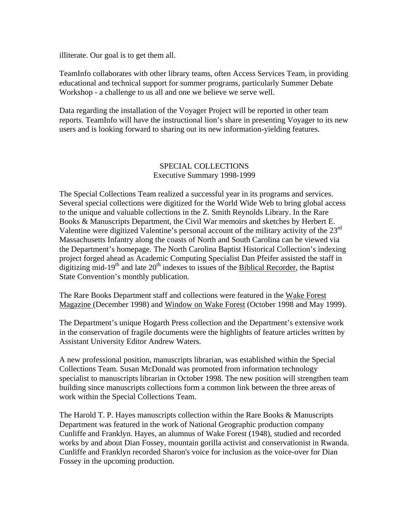illiterate. Our goal is to get them all.

TeamInfo collaborates with other library teams, often Access Services Team, in providing educational and technical support for summer programs, particularly Summer Debate Workshop - a challenge to us all and one we believe we serve well.

Data regarding the installation of the Voyager Project will be reported in other team reports. TeamInfo will have the instructional lion's share in presenting Voyager to its new users and is looking forward to sharing out its new information-yielding features.

#### SPECIAL COLLECTIONS Executive Summary 1998-1999

The Special Collections Team realized a successful year in its programs and services. Several special collections were digitized for the World Wide Web to bring global access to the unique and valuable collections in the Z. Smith Reynolds Library. In the Rare Books & Manuscripts Department, the Civil War memoirs and sketches by Herbert E. Valentine were digitized Valentine's personal account of the military activity of the 23rd Massachusetts Infantry along the coasts of North and South Carolina can be viewed via the Department's homepage. The North Carolina Baptist Historical Collection's indexing project forged ahead as Academic Computing Specialist Dan Pfeifer assisted the staff in digitizing mid-19<sup>th</sup> and late  $20<sup>th</sup>$  indexes to issues of the Biblical Recorder, the Baptist State Convention's monthly publication.

The Rare Books Department staff and collections were featured in the Wake Forest Magazine (December 1998) and Window on Wake Forest (October 1998 and May 1999).

The Department's unique Hogarth Press collection and the Department's extensive work in the conservation of fragile documents were the highlights of feature articles written by Assistant University Editor Andrew Waters.

A new professional position, manuscripts librarian, was established within the Special Collections Team. Susan McDonald was promoted from information technology specialist to manuscripts librarian in October 1998. The new position will strengthen team building since manuscripts collections form a common link between the three areas of work within the Special Collections Team.

The Harold T. P. Hayes manuscripts collection within the Rare Books & Manuscripts Department was featured in the work of National Geographic production company Cunliffe and Franklyn. Hayes, an alumnus of Wake Forest (1948), studied and recorded works by and about Dian Fossey, mountain gorilla activist and conservationist in Rwanda. Cunliffe and Franklyn recorded Sharon's voice for inclusion as the voice-over for Dian Fossey in the upcoming production.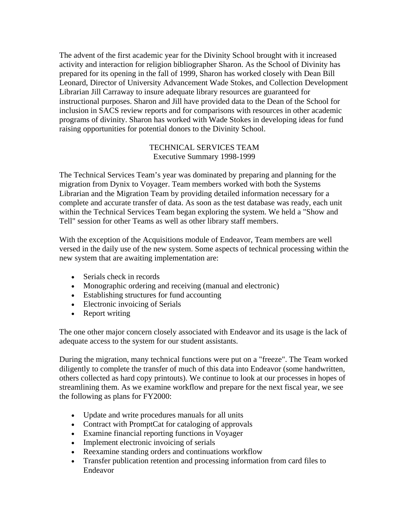The advent of the first academic year for the Divinity School brought with it increased activity and interaction for religion bibliographer Sharon. As the School of Divinity has prepared for its opening in the fall of 1999, Sharon has worked closely with Dean Bill Leonard, Director of University Advancement Wade Stokes, and Collection Development Librarian Jill Carraway to insure adequate library resources are guaranteed for instructional purposes. Sharon and Jill have provided data to the Dean of the School for inclusion in SACS review reports and for comparisons with resources in other academic programs of divinity. Sharon has worked with Wade Stokes in developing ideas for fund raising opportunities for potential donors to the Divinity School.

#### TECHNICAL SERVICES TEAM Executive Summary 1998-1999

The Technical Services Team's year was dominated by preparing and planning for the migration from Dynix to Voyager. Team members worked with both the Systems Librarian and the Migration Team by providing detailed information necessary for a complete and accurate transfer of data. As soon as the test database was ready, each unit within the Technical Services Team began exploring the system. We held a "Show and Tell" session for other Teams as well as other library staff members.

With the exception of the Acquisitions module of Endeavor, Team members are well versed in the daily use of the new system. Some aspects of technical processing within the new system that are awaiting implementation are:

- Serials check in records
- Monographic ordering and receiving (manual and electronic)
- Establishing structures for fund accounting
- Electronic invoicing of Serials
- Report writing

The one other major concern closely associated with Endeavor and its usage is the lack of adequate access to the system for our student assistants.

During the migration, many technical functions were put on a "freeze". The Team worked diligently to complete the transfer of much of this data into Endeavor (some handwritten, others collected as hard copy printouts). We continue to look at our processes in hopes of streamlining them. As we examine workflow and prepare for the next fiscal year, we see the following as plans for FY2000:

- Update and write procedures manuals for all units
- Contract with PromptCat for cataloging of approvals
- Examine financial reporting functions in Voyager
- Implement electronic invoicing of serials
- Reexamine standing orders and continuations workflow
- Transfer publication retention and processing information from card files to Endeavor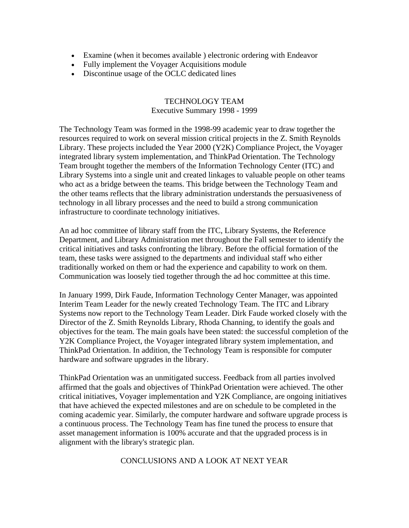- Examine (when it becomes available ) electronic ordering with Endeavor
- Fully implement the Voyager Acquisitions module
- Discontinue usage of the OCLC dedicated lines

#### TECHNOLOGY TEAM Executive Summary 1998 - 1999

The Technology Team was formed in the 1998-99 academic year to draw together the resources required to work on several mission critical projects in the Z. Smith Reynolds Library. These projects included the Year 2000 (Y2K) Compliance Project, the Voyager integrated library system implementation, and ThinkPad Orientation. The Technology Team brought together the members of the Information Technology Center (ITC) and Library Systems into a single unit and created linkages to valuable people on other teams who act as a bridge between the teams. This bridge between the Technology Team and the other teams reflects that the library administration understands the persuasiveness of technology in all library processes and the need to build a strong communication infrastructure to coordinate technology initiatives.

An ad hoc committee of library staff from the ITC, Library Systems, the Reference Department, and Library Administration met throughout the Fall semester to identify the critical initiatives and tasks confronting the library. Before the official formation of the team, these tasks were assigned to the departments and individual staff who either traditionally worked on them or had the experience and capability to work on them. Communication was loosely tied together through the ad hoc committee at this time.

In January 1999, Dirk Faude, Information Technology Center Manager, was appointed Interim Team Leader for the newly created Technology Team. The ITC and Library Systems now report to the Technology Team Leader. Dirk Faude worked closely with the Director of the Z. Smith Reynolds Library, Rhoda Channing, to identify the goals and objectives for the team. The main goals have been stated: the successful completion of the Y2K Compliance Project, the Voyager integrated library system implementation, and ThinkPad Orientation. In addition, the Technology Team is responsible for computer hardware and software upgrades in the library.

ThinkPad Orientation was an unmitigated success. Feedback from all parties involved affirmed that the goals and objectives of ThinkPad Orientation were achieved. The other critical initiatives, Voyager implementation and Y2K Compliance, are ongoing initiatives that have achieved the expected milestones and are on schedule to be completed in the coming academic year. Similarly, the computer hardware and software upgrade process is a continuous process. The Technology Team has fine tuned the process to ensure that asset management information is 100% accurate and that the upgraded process is in alignment with the library's strategic plan.

CONCLUSIONS AND A LOOK AT NEXT YEAR